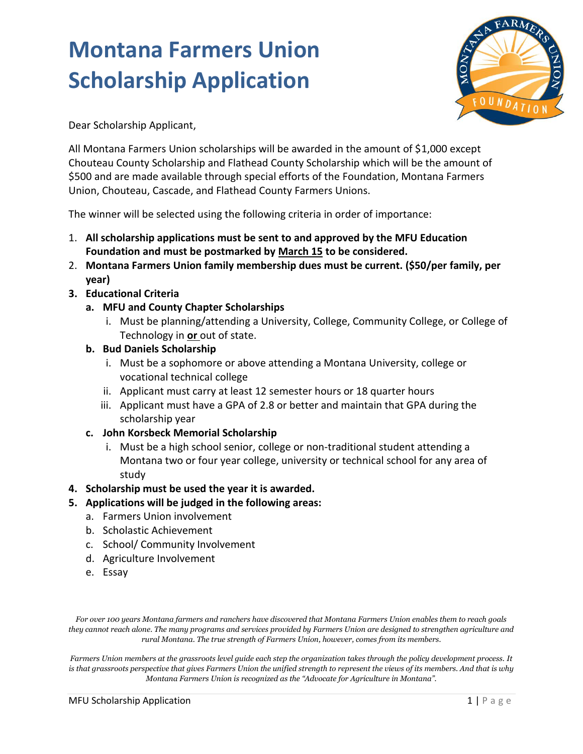

Dear Scholarship Applicant,

All Montana Farmers Union scholarships will be awarded in the amount of \$1,000 except Chouteau County Scholarship and Flathead County Scholarship which will be the amount of \$500 and are made available through special efforts of the Foundation, Montana Farmers Union, Chouteau, Cascade, and Flathead County Farmers Unions.

The winner will be selected using the following criteria in order of importance:

- 1. **All scholarship applications must be sent to and approved by the MFU Education Foundation and must be postmarked by March 15 to be considered.**
- 2. **Montana Farmers Union family membership dues must be current. (\$50/per family, per year)**
- **3. Educational Criteria**
	- **a. MFU and County Chapter Scholarships**
		- i. Must be planning/attending a University, College, Community College, or College of Technology in **or** out of state.
	- **b. Bud Daniels Scholarship**
		- i. Must be a sophomore or above attending a Montana University, college or vocational technical college
		- ii. Applicant must carry at least 12 semester hours or 18 quarter hours
		- iii. Applicant must have a GPA of 2.8 or better and maintain that GPA during the scholarship year
	- **c. John Korsbeck Memorial Scholarship**
		- i. Must be a high school senior, college or non-traditional student attending a Montana two or four year college, university or technical school for any area of study

### **4. Scholarship must be used the year it is awarded.**

- **5. Applications will be judged in the following areas:**
	- a. Farmers Union involvement
	- b. Scholastic Achievement
	- c. School/ Community Involvement
	- d. Agriculture Involvement
	- e. Essay

*For over 100 years Montana farmers and ranchers have discovered that Montana Farmers Union enables them to reach goals they cannot reach alone. The many programs and services provided by Farmers Union are designed to strengthen agriculture and rural Montana. The true strength of Farmers Union, however, comes from its members.*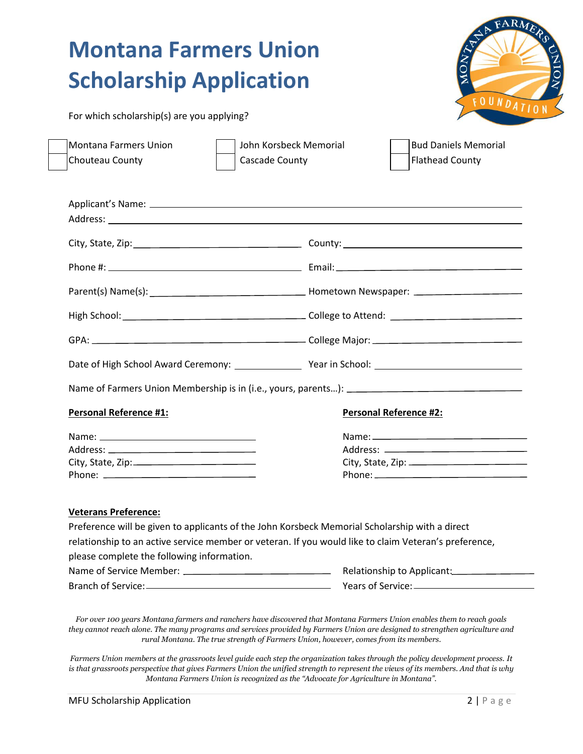OUNDATION

| For which scholarship(s) are you applying? |  |  |
|--------------------------------------------|--|--|
|--------------------------------------------|--|--|

| Montana Farmers Union | John Korsbeck Memorial | <b>Bud Daniels Memorial</b> |
|-----------------------|------------------------|-----------------------------|
| Chouteau County       | Cascade County         | <b>Flathead County</b>      |

| <b>Personal Reference #1:</b> | <b>Personal Reference #2:</b> |
|-------------------------------|-------------------------------|
|                               |                               |
|                               |                               |
|                               |                               |
|                               |                               |

#### **Veterans Preference:**

Preference will be given to applicants of the John Korsbeck Memorial Scholarship with a direct relationship to an active service member or veteran. If you would like to claim Veteran's preference, please complete the following information. Name of Service Member: \_\_\_\_

| Branch of Service: |  |
|--------------------|--|

| please complete the following imorniation. |                            |
|--------------------------------------------|----------------------------|
| Name of Service Member:                    | Relationship to Applicant: |
| Branch of Service:                         | Years of Service:          |
|                                            |                            |

*For over 100 years Montana farmers and ranchers have discovered that Montana Farmers Union enables them to reach goals they cannot reach alone. The many programs and services provided by Farmers Union are designed to strengthen agriculture and rural Montana. The true strength of Farmers Union, however, comes from its members.*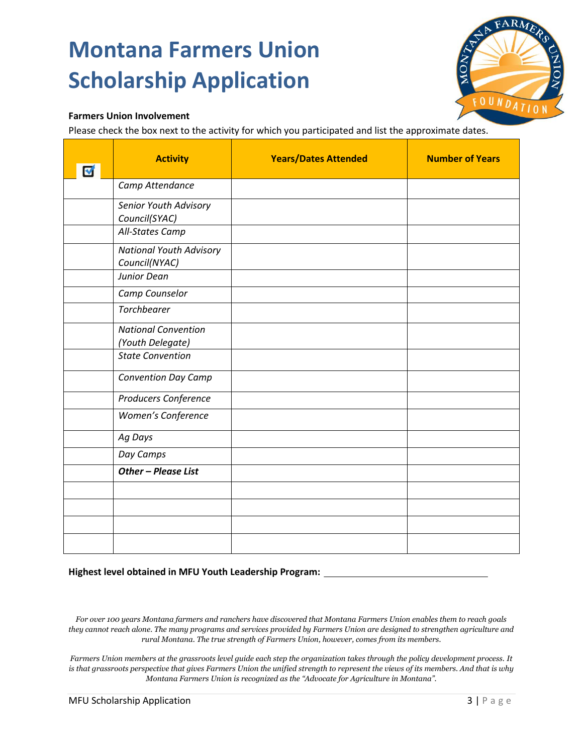

### **Farmers Union Involvement**

Please check the box next to the activity for which you participated and list the approximate dates.

| $\blacktriangledown$ | <b>Activity</b>                                                    | <b>Years/Dates Attended</b> | <b>Number of Years</b> |
|----------------------|--------------------------------------------------------------------|-----------------------------|------------------------|
|                      | Camp Attendance                                                    |                             |                        |
|                      | Senior Youth Advisory<br>Council(SYAC)                             |                             |                        |
|                      | All-States Camp<br><b>National Youth Advisory</b><br>Council(NYAC) |                             |                        |
|                      | Junior Dean<br>Camp Counselor                                      |                             |                        |
|                      | <b>Torchbearer</b>                                                 |                             |                        |
|                      | <b>National Convention</b><br>(Youth Delegate)                     |                             |                        |
|                      | <b>State Convention</b>                                            |                             |                        |
|                      | <b>Convention Day Camp</b>                                         |                             |                        |
|                      | Producers Conference                                               |                             |                        |
|                      | Women's Conference                                                 |                             |                        |
|                      | Ag Days                                                            |                             |                        |
|                      | Day Camps                                                          |                             |                        |
|                      | Other - Please List                                                |                             |                        |
|                      |                                                                    |                             |                        |
|                      |                                                                    |                             |                        |
|                      |                                                                    |                             |                        |
|                      |                                                                    |                             |                        |

#### **Highest level obtained in MFU Youth Leadership Program:**

*For over 100 years Montana farmers and ranchers have discovered that Montana Farmers Union enables them to reach goals they cannot reach alone. The many programs and services provided by Farmers Union are designed to strengthen agriculture and rural Montana. The true strength of Farmers Union, however, comes from its members.*